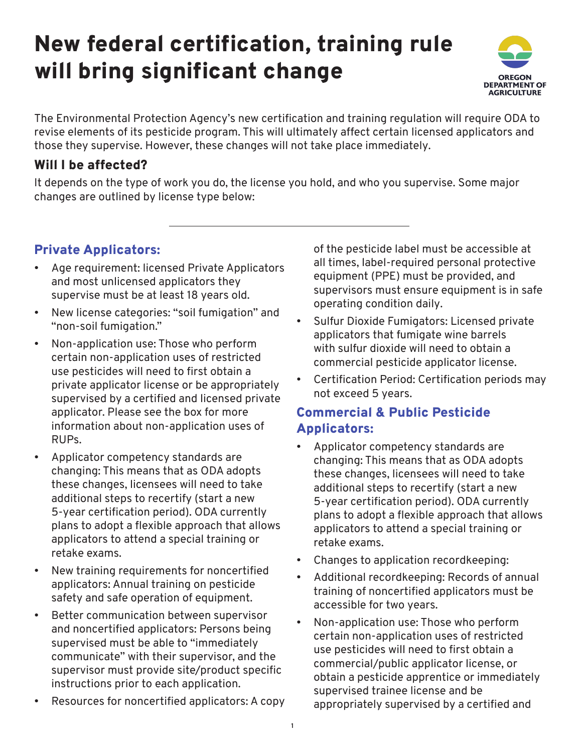# New federal certification, training rule will bring significant change



The Environmental Protection Agency's new certification and training regulation will require ODA to revise elements of its pesticide program. This will ultimately affect certain licensed applicators and those they supervise. However, these changes will not take place immediately.

## Will I be affected?

It depends on the type of work you do, the license you hold, and who you supervise. Some major changes are outlined by license type below:

# Private Applicators:

- Age requirement: licensed Private Applicators and most unlicensed applicators they supervise must be at least 18 years old.
- New license categories: "soil fumigation" and "non-soil fumigation."
- Non-application use: Those who perform certain non-application uses of restricted use pesticides will need to first obtain a private applicator license or be appropriately supervised by a certified and licensed private applicator. Please see the box for more information about non-application uses of RUPs.
- Applicator competency standards are changing: This means that as ODA adopts these changes, licensees will need to take additional steps to recertify (start a new 5-year certification period). ODA currently plans to adopt a flexible approach that allows applicators to attend a special training or retake exams.
- New training requirements for noncertified applicators: Annual training on pesticide safety and safe operation of equipment.
- Better communication between supervisor and noncertified applicators: Persons being supervised must be able to "immediately communicate" with their supervisor, and the supervisor must provide site/product specific instructions prior to each application.
- Resources for noncertified applicators: A copy

of the pesticide label must be accessible at all times, label-required personal protective equipment (PPE) must be provided, and supervisors must ensure equipment is in safe operating condition daily.

- Sulfur Dioxide Fumigators: Licensed private applicators that fumigate wine barrels with sulfur dioxide will need to obtain a commercial pesticide applicator license.
- Certification Period: Certification periods may not exceed 5 years.

# Commercial & Public Pesticide Applicators:

- Applicator competency standards are changing: This means that as ODA adopts these changes, licensees will need to take additional steps to recertify (start a new 5-year certification period). ODA currently plans to adopt a flexible approach that allows applicators to attend a special training or retake exams.
- Changes to application recordkeeping:
- Additional recordkeeping: Records of annual training of noncertified applicators must be accessible for two years.
- Non-application use: Those who perform certain non-application uses of restricted use pesticides will need to first obtain a commercial/public applicator license, or obtain a pesticide apprentice or immediately supervised trainee license and be appropriately supervised by a certified and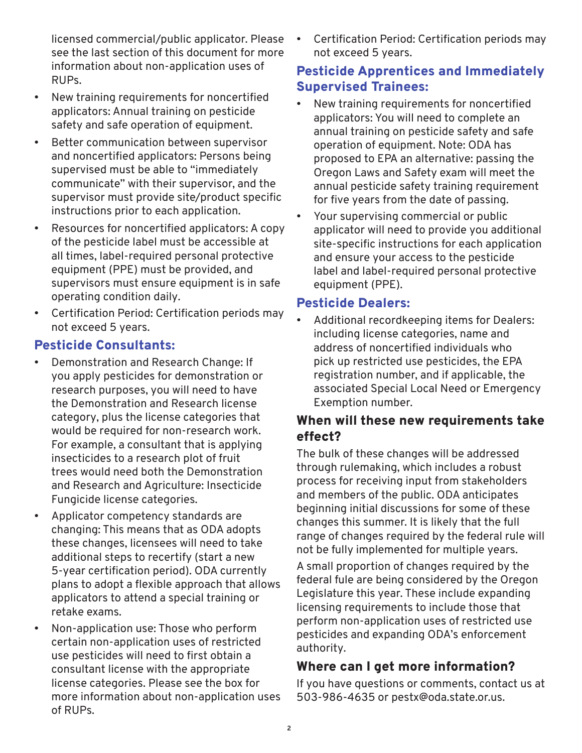licensed commercial/public applicator. Please see the last section of this document for more information about non-application uses of RUPs.

- New training requirements for noncertified applicators: Annual training on pesticide safety and safe operation of equipment.
- Better communication between supervisor and noncertified applicators: Persons being supervised must be able to "immediately communicate" with their supervisor, and the supervisor must provide site/product specific instructions prior to each application.
- Resources for noncertified applicators: A copy of the pesticide label must be accessible at all times, label-required personal protective equipment (PPE) must be provided, and supervisors must ensure equipment is in safe operating condition daily.
- Certification Period: Certification periods may not exceed 5 years.

## Pesticide Consultants:

- Demonstration and Research Change: If you apply pesticides for demonstration or research purposes, you will need to have the Demonstration and Research license category, plus the license categories that would be required for non-research work. For example, a consultant that is applying insecticides to a research plot of fruit trees would need both the Demonstration and Research and Agriculture: Insecticide Fungicide license categories.
- Applicator competency standards are changing: This means that as ODA adopts these changes, licensees will need to take additional steps to recertify (start a new 5-year certification period). ODA currently plans to adopt a flexible approach that allows applicators to attend a special training or retake exams.
- Non-application use: Those who perform certain non-application uses of restricted use pesticides will need to first obtain a consultant license with the appropriate license categories. Please see the box for more information about non-application uses of RUPs.

• Certification Period: Certification periods may not exceed 5 years.

## Pesticide Apprentices and Immediately Supervised Trainees:

- New training requirements for noncertified applicators: You will need to complete an annual training on pesticide safety and safe operation of equipment. Note: ODA has proposed to EPA an alternative: passing the Oregon Laws and Safety exam will meet the annual pesticide safety training requirement for five years from the date of passing.
- Your supervising commercial or public applicator will need to provide you additional site-specific instructions for each application and ensure your access to the pesticide label and label-required personal protective equipment (PPE).

## Pesticide Dealers:

• Additional recordkeeping items for Dealers: including license categories, name and address of noncertified individuals who pick up restricted use pesticides, the EPA registration number, and if applicable, the associated Special Local Need or Emergency Exemption number.

## When will these new requirements take effect?

The bulk of these changes will be addressed through rulemaking, which includes a robust process for receiving input from stakeholders and members of the public. ODA anticipates beginning initial discussions for some of these changes this summer. It is likely that the full range of changes required by the federal rule will not be fully implemented for multiple years.

A small proportion of changes required by the federal fule are being considered by the Oregon Legislature this year. These include expanding licensing requirements to include those that perform non-application uses of restricted use pesticides and expanding ODA's enforcement authority.

# Where can I get more information?

If you have questions or comments, contact us at 503-986-4635 or pestx@oda.state.or.us.